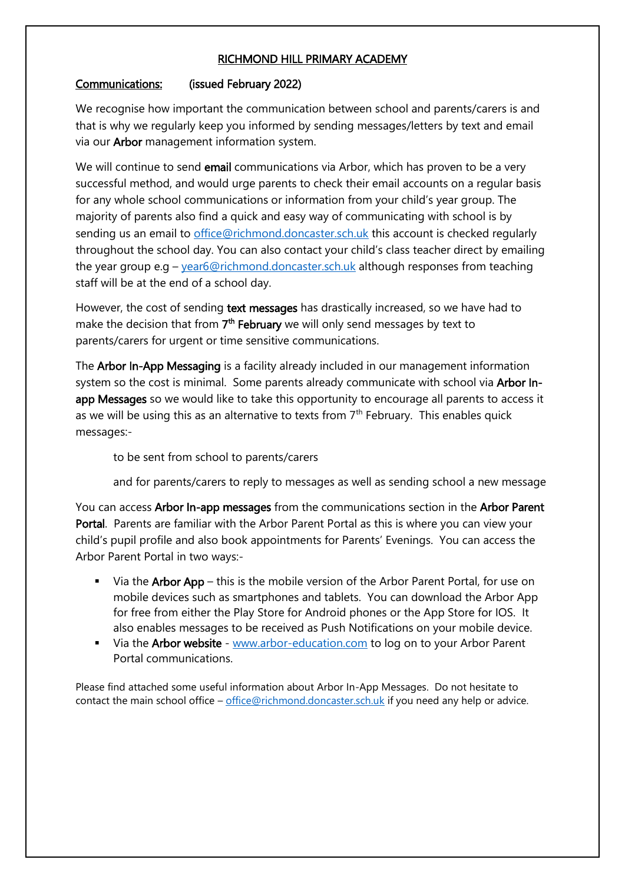#### RICHMOND HILL PRIMARY ACADEMY

#### Communications: (issued February 2022)

We recognise how important the communication between school and parents/carers is and that is why we regularly keep you informed by sending messages/letters by text and email via our Arbor management information system.

We will continue to send email communications via Arbor, which has proven to be a very successful method, and would urge parents to check their email accounts on a regular basis for any whole school communications or information from your child's year group. The majority of parents also find a quick and easy way of communicating with school is by sending us an email to [office@richmond.doncaster.sch.uk](mailto:office@richmond.doncaster.sch.uk) this account is checked regularly throughout the school day. You can also contact your child's class teacher direct by emailing the year group e.g – [year6@richmond.doncaster.sch.uk](mailto:year6@richmond.doncaster.sch.uk) although responses from teaching staff will be at the end of a school day.

However, the cost of sending text messages has drastically increased, so we have had to make the decision that from 7<sup>th</sup> February we will only send messages by text to parents/carers for urgent or time sensitive communications.

The Arbor In-App Messaging is a facility already included in our management information system so the cost is minimal. Some parents already communicate with school via Arbor Inapp Messages so we would like to take this opportunity to encourage all parents to access it as we will be using this as an alternative to texts from  $7<sup>th</sup>$  February. This enables quick messages:-

to be sent from school to parents/carers

and for parents/carers to reply to messages as well as sending school a new message

You can access Arbor In-app messages from the communications section in the Arbor Parent Portal. Parents are familiar with the Arbor Parent Portal as this is where you can view your child's pupil profile and also book appointments for Parents' Evenings. You can access the Arbor Parent Portal in two ways:-

- Via the Arbor App this is the mobile version of the Arbor Parent Portal, for use on mobile devices such as smartphones and tablets. You can download the Arbor App for free from either the Play Store for Android phones or the App Store for IOS. It also enables messages to be received as Push Notifications on your mobile device.
- Via the Arbor website [www.arbor-education.com](http://www.arbor-education.com/) to log on to your Arbor Parent Portal communications.

Please find attached some useful information about Arbor In-App Messages. Do not hesitate to contact the main school office – [office@richmond.doncaster.sch.uk](mailto:office@richmond.doncaster.sch.uk) if you need any help or advice.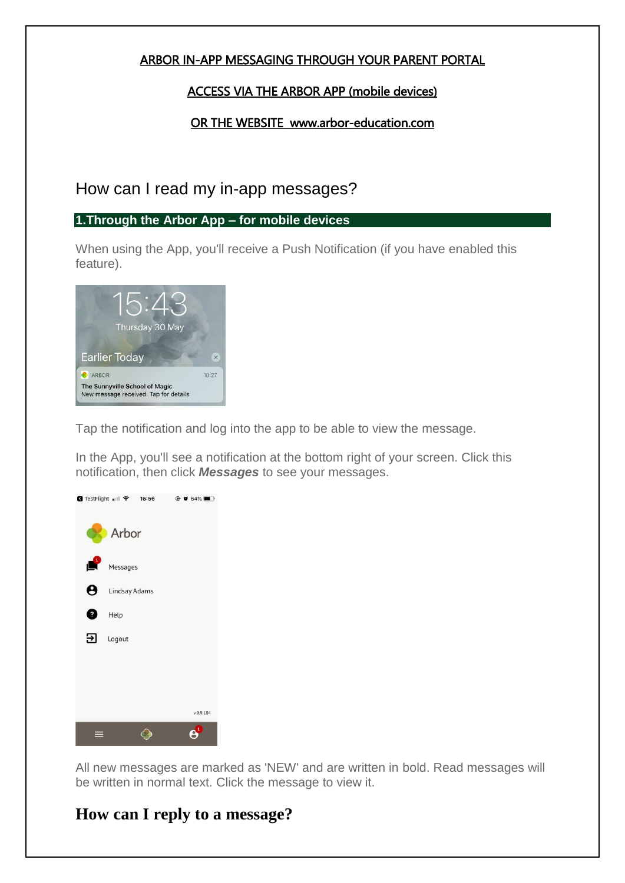### ARBOR IN-APP MESSAGING THROUGH YOUR PARENT PORTAL

### ACCESS VIA THE ARBOR APP (mobile devices)

### OR THE WEBSITE [www.arbor-education.com](http://www.arbor-education.com/)

## How can I read my in-app messages?

#### **1.Through the Arbor App – for mobile devices**

When using the App, you'll receive a Push Notification (if you have enabled this feature).



Tap the notification and log into the app to be able to view the message.

In the App, you'll see a notification at the bottom right of your screen. Click this notification, then click *Messages* to see your messages.



All new messages are marked as 'NEW' and are written in bold. Read messages will be written in normal text. Click the message to view it.

## **How can I reply to a message?**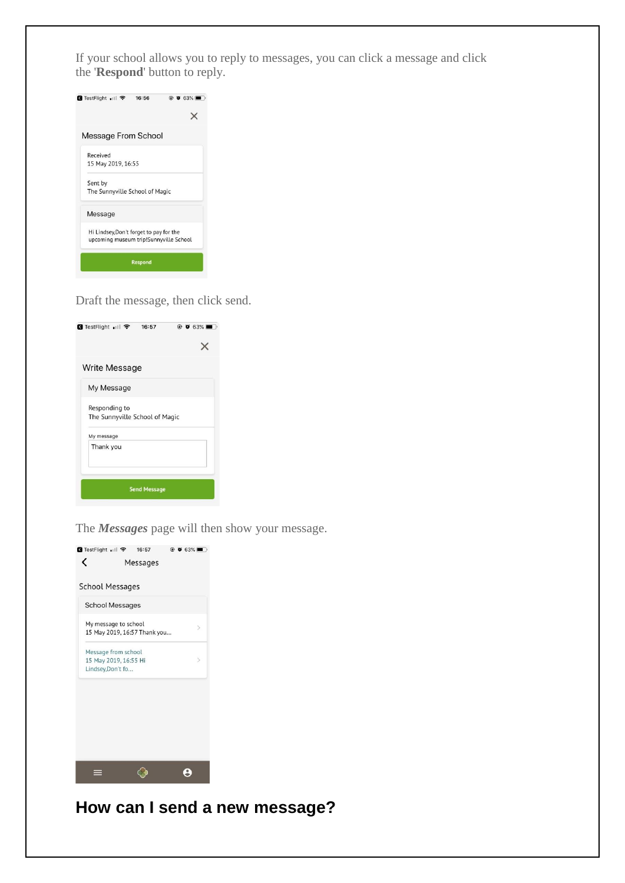If your school allows you to reply to messages, you can click a message and click the '**Respond**' button to reply.



Draft the message, then click send.

| <b>4</b> TestFlight all <del>२</del> | 16:57               | $\circledcirc$ 63% |
|--------------------------------------|---------------------|--------------------|
|                                      |                     |                    |
| <b>Write Message</b>                 |                     |                    |
| My Message                           |                     |                    |
| Responding to                        |                     |                    |
| The Sunnyville School of Magic       |                     |                    |
| My message                           |                     |                    |
| Thank you                            |                     |                    |
|                                      |                     |                    |
|                                      |                     |                    |
|                                      | <b>Send Message</b> |                    |

The *Messages* page will then show your message.



**How can I send a new message?**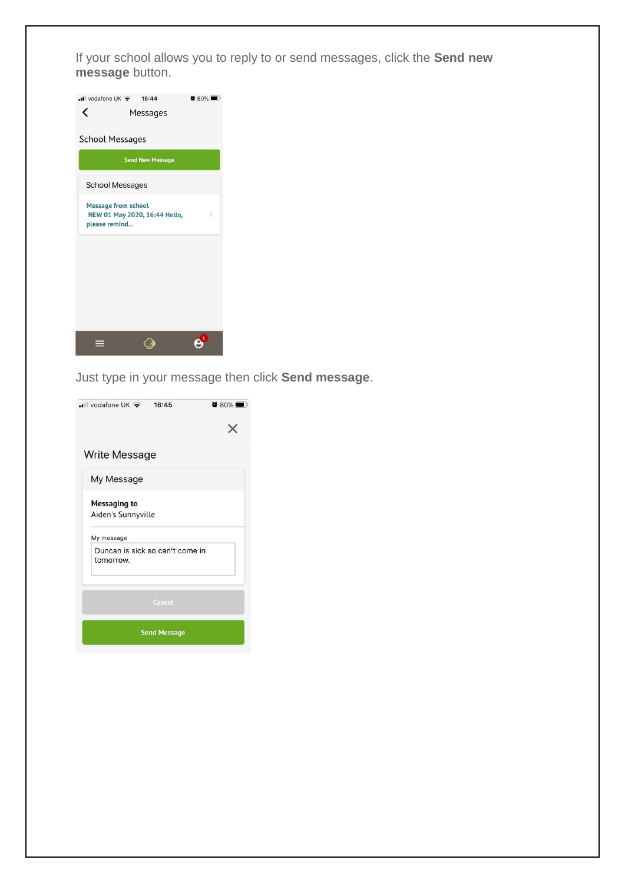If your school allows you to reply to or send messages, click the **Send new message** button.



Just type in your message then click **Send message**.

| $\bullet$ 16:45                              | $\bullet$ 80% |
|----------------------------------------------|---------------|
|                                              |               |
| <b>Write Message</b>                         |               |
| My Message                                   |               |
| <b>Messaging to</b><br>Aiden's Sunnyville    |               |
| My message                                   |               |
| Duncan is sick so can't come in<br>tomorrow. |               |
| Cancel                                       |               |
| <b>Send Message</b>                          |               |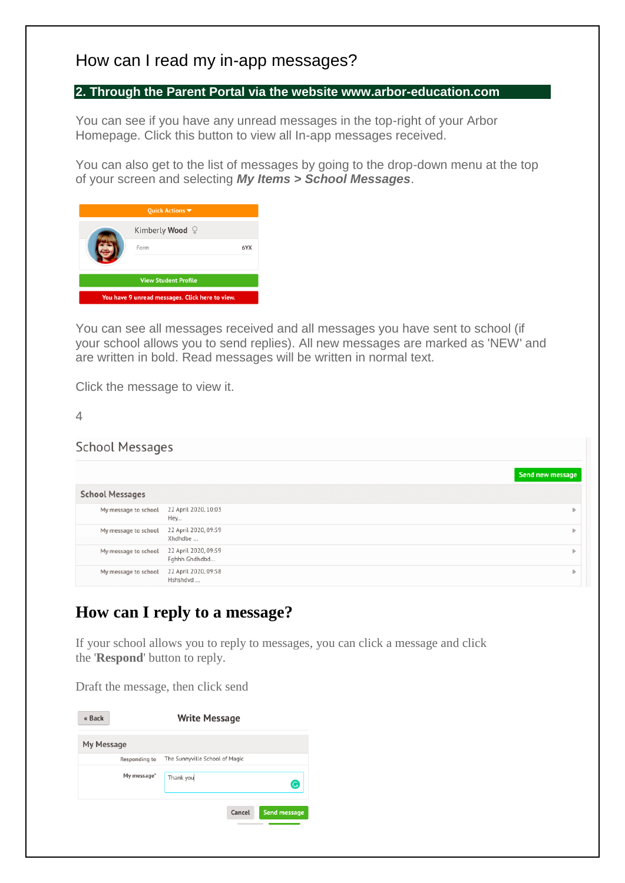## How can I read my in-app messages?

#### **2. Through the Parent Portal via the website www.arbor-education.com**

You can see if you have any unread messages in the top-right of your Arbor Homepage. Click this button to view all In-app messages received.

You can also get to the list of messages by going to the drop-down menu at the top of your screen and selecting *My Items > School Messages*.



You can see all messages received and all messages you have sent to school (if your school allows you to send replies). All new messages are marked as 'NEW' and are written in bold. Read messages will be written in normal text.

Click the message to view it.

**School Messages** 

|                        |                                       | <b>Sensiten message</b> |
|------------------------|---------------------------------------|-------------------------|
| <b>School Messages</b> |                                       |                         |
| My message to school   | 22 April 2020, 10:03<br>Hey           | r.                      |
| My message to school   | 22 April 2020, 09:59<br>Xhdhdbe       | r                       |
| My message to school   | 22 April 2020, 09:59<br>Fghhh Ghdhdbd | r                       |
| My message to school   | 22 April 2020, 09:58<br>Hshshdvd      | n.                      |

## **How can I reply to a message?**

If your school allows you to reply to messages, you can click a message and click the '**Respond**' button to reply.

Draft the message, then click send

| « Back        | <b>Write Message</b>           |                     |
|---------------|--------------------------------|---------------------|
| My Message    |                                |                     |
| Responding to | The Sunnyville School of Magic |                     |
| My message*   | Thank you                      |                     |
|               | Cancel                         | <b>Send message</b> |